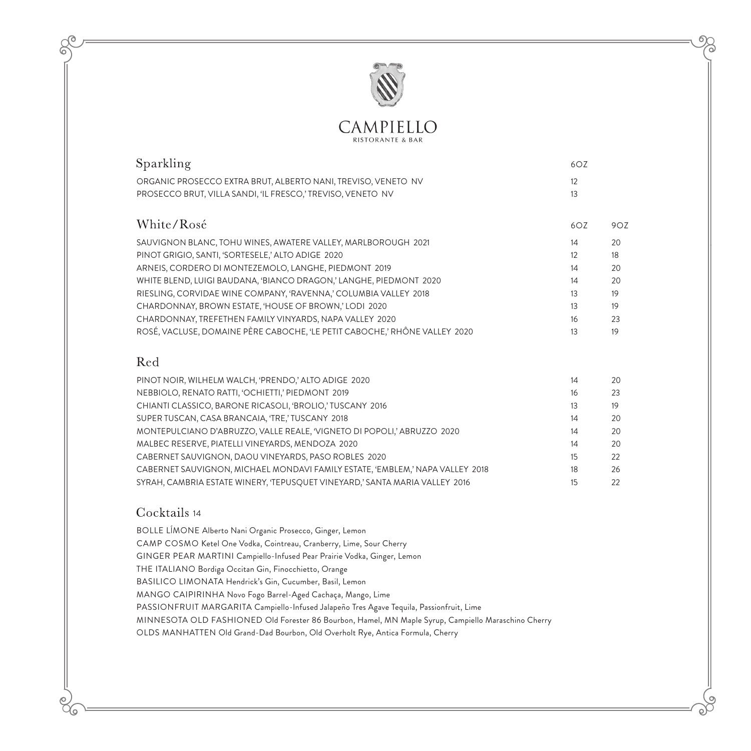

**RISTORANTE & BAR** 

| Sparkling                                                                                                                    | 6OZ      |     |
|------------------------------------------------------------------------------------------------------------------------------|----------|-----|
| ORGANIC PROSECCO EXTRA BRUT, ALBERTO NANI, TREVISO, VENETO NV<br>PROSECCO BRUT, VILLA SANDI, 'IL FRESCO,' TREVISO, VENETO NV | 12<br>13 |     |
| White/Rosé                                                                                                                   | 6OZ      | 9OZ |
| SAUVIGNON BLANC, TOHU WINES, AWATERE VALLEY, MARLBOROUGH 2021                                                                | 14       | 20  |
| PINOT GRIGIO, SANTI, 'SORTESELE,' ALTO ADIGE 2020                                                                            | 12       | 18  |
| ARNEIS, CORDERO DI MONTEZEMOLO, LANGHE, PIEDMONT 2019                                                                        | 14       | 20  |
| WHITE BLEND, LUIGI BAUDANA, 'BIANCO DRAGON,' LANGHE, PIEDMONT 2020                                                           | 14       | 20  |
| RIESLING, CORVIDAE WINE COMPANY, 'RAVENNA,' COLUMBIA VALLEY 2018                                                             | 13       | 19  |
| CHARDONNAY, BROWN ESTATE, 'HOUSE OF BROWN,' LODI 2020                                                                        | 13       | 19  |
| CHARDONNAY, TREFETHEN FAMILY VINYARDS, NAPA VALLEY 2020                                                                      | 16       | 23  |
| ROSÉ, VACLUSE, DOMAINE PÈRE CABOCHE, 'LE PETIT CABOCHE,' RHÔNE VALLEY 2020                                                   | 13       | 19  |
|                                                                                                                              |          |     |
| Red                                                                                                                          |          |     |
| PINOT NOIR, WILHELM WALCH, 'PRENDO,' ALTO ADIGE 2020                                                                         | 14       | 20  |
| NEBBIOLO, RENATO RATTI, 'OCHIETTI,' PIEDMONT 2019                                                                            | 16       | 23  |

| CHIANTI CLASSICO, BARONE RICASOLI, 'BROLIO,' TUSCANY 2016                     | 13 | 19 |
|-------------------------------------------------------------------------------|----|----|
| SUPER TUSCAN, CASA BRANCAIA, 'TRE,' TUSCANY 2018                              | 14 | 20 |
| MONTEPULCIANO D'ABRUZZO, VALLE REALE, 'VIGNETO DI POPOLI,' ABRUZZO 2020       | 14 | 20 |
| MALBEC RESERVE, PIATELLI VINEYARDS, MENDOZA 2020                              | 14 | 20 |
| CABERNET SAUVIGNON, DAOU VINEYARDS, PASO ROBLES 2020                          | 15 | 22 |
| CABERNET SAUVIGNON, MICHAEL MONDAVI FAMILY ESTATE, 'EMBLEM,' NAPA VALLEY 2018 | 18 | 26 |
| SYRAH, CAMBRIA ESTATE WINERY, 'TEPUSQUET VINEYARD,' SANTA MARIA VALLEY 2016   | 15 | 22 |

## Cocktails 14

۹o

BOLLE LĺMONE Alberto Nani Organic Prosecco, Ginger, Lemon CAMP COSMO Ketel One Vodka, Cointreau, Cranberry, Lime, Sour Cherry GINGER PEAR MARTINI Campiello-Infused Pear Prairie Vodka, Ginger, Lemon THE ITALIANO Bordiga Occitan Gin, Finocchietto, Orange BASILICO LIMONATA Hendrick's Gin, Cucumber, Basil, Lemon MANGO CAIPIRINHA Novo Fogo Barrel-Aged Cachaça, Mango, Lime PASSIONFRUIT MARGARITA Campiello-Infused Jalapeño Tres Agave Tequila, Passionfruit, Lime MINNESOTA OLD FASHIONED Old Forester 86 Bourbon, Hamel, MN Maple Syrup, Campiello Maraschino Cherry OLDS MANHATTEN Old Grand-Dad Bourbon, Old Overholt Rye, Antica Formula, Cherry

O)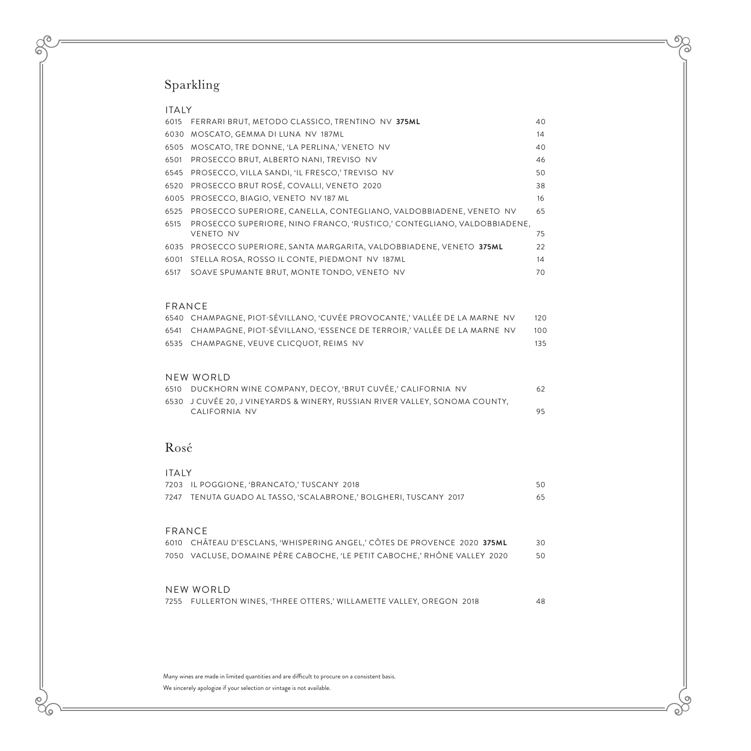# Sparkling

 $\sigma$ 

ନ

86

| <b>ITAIY</b> |                                                                         |    |
|--------------|-------------------------------------------------------------------------|----|
| 6015         | FERRARI BRUT, METODO CLASSICO, TRENTINO NV 375ML                        | 40 |
| 6030         | MOSCATO, GEMMA DI LUNA NV 187ML                                         | 14 |
| 6505         | MOSCATO, TRE DONNE, 'LA PERLINA,' VENETO NV                             | 40 |
| 6501         | PROSECCO BRUT, ALBERTO NANI, TREVISO NV                                 | 46 |
|              | 6545 PROSECCO, VILLA SANDI, 'IL FRESCO,' TREVISO NV                     | 50 |
| 6520         | PROSECCO BRUT ROSÉ, COVALLI, VENETO 2020                                | 38 |
|              | 6005 PROSECCO, BIAGIO, VENETO NV 187 ML                                 | 16 |
| 6525         | PROSECCO SUPERIORE, CANELLA, CONTEGLIANO, VALDOBBIADENE, VENETO NV      | 65 |
| 6515         | PROSECCO SUPERIORE, NINO FRANCO, 'RUSTICO,' CONTEGLIANO, VALDOBBIADENE, |    |
|              | <b>VENETO NV</b>                                                        | 75 |
| 6035         | PROSECCO SUPERIORE, SANTA MARGARITA, VALDOBBIADENE, VENETO 375ML        | 22 |
| 6001         | STELLA ROSA, ROSSO IL CONTE, PIEDMONT NV 187ML                          | 14 |
| 6517         | SOAVE SPUMANTE BRUT, MONTE TONDO, VENETO NV                             | 70 |
|              |                                                                         |    |

 $\Omega$ 

 $\circ$  $\Im$ 

#### FRANCE

| 6540 CHAMPAGNE, PIOT-SÉVILLANO, 'CUVÉE PROVOCANTE,' VALLÉE DE LA MARNE NV   | 120   |
|-----------------------------------------------------------------------------|-------|
| 6541 CHAMPAGNE, PIOT-SÉVILLANO, 'ESSENCE DE TERROIR,' VALLÉE DE LA MARNE NV | 100   |
| 6535 CHAMPAGNE, VEUVE CLICOUOT, REIMS NV                                    | - 135 |

#### NEW WORLD

| 6510     DUCKHORN WINE COMPANY, DECOY, 'BRUT CUVÉE,' CALIFORNIA  NV             |  |
|---------------------------------------------------------------------------------|--|
| 6530   J CUVÉE 20, J VINEYARDS & WINERY, RUSSIAN RIVER VALLEY, SONOMA COUNTY, . |  |
| CALIFORNIA NV                                                                   |  |

## Rosé

| <b>ITAIY</b> |                                                                      |    |
|--------------|----------------------------------------------------------------------|----|
|              | 7203 IL POGGIONE, 'BRANCATO,' TUSCANY 2018                           | 50 |
|              | 7247    TENUTA GUADO AL TASSO, 'SCALABRONE,' BOLGHERI, TUSCANY  2017 | 65 |

### FRANCE

| 6010 CHÂTEAU D'ESCLANS, 'WHISPERING ANGEL,' CÔTES DE PROVENCE 2020 375ML  | 30 |
|---------------------------------------------------------------------------|----|
| 7050 VACLUSE, DOMAINE PÈRE CABOCHE, 'LE PETIT CABOCHE,' RHÔNE VALLEY 2020 | 50 |

#### NEW WORLD

|  |  |  | 7255 FULLERTON WINES, 'THREE OTTERS,' WILLAMETTE VALLEY, OREGON 2018 |  |  |
|--|--|--|----------------------------------------------------------------------|--|--|
|--|--|--|----------------------------------------------------------------------|--|--|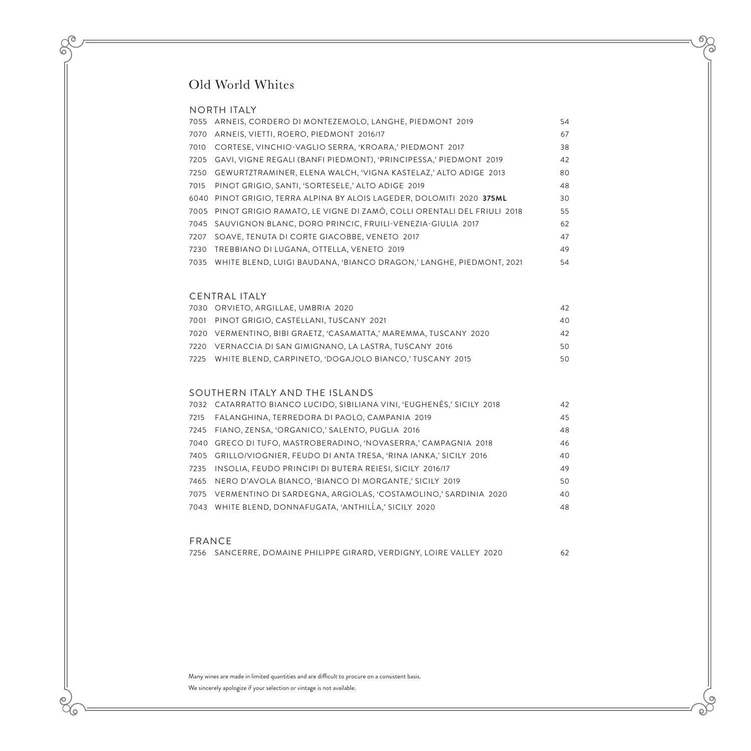# Old World Whites

#### NORTH ITALY

ര 

(o

|      | 7055 ARNEIS, CORDERO DI MONTEZEMOLO, LANGHE, PIEDMONT 2019                 | 54 |
|------|----------------------------------------------------------------------------|----|
|      | 7070 ARNEIS, VIETTI, ROERO, PIEDMONT 2016/17                               | 67 |
| 7010 | CORTESE, VINCHIO-VAGLIO SERRA, 'KROARA,' PIEDMONT 2017                     | 38 |
|      | 7205 GAVI, VIGNE REGALI (BANFI PIEDMONT), 'PRINCIPESSA,' PIEDMONT 2019     | 42 |
|      | 7250 GEWURTZTRAMINER, ELENA WALCH, 'VIGNA KASTELAZ,' ALTO ADIGE 2013       | 80 |
| 7015 | PINOT GRIGIO, SANTI, 'SORTESELE,' ALTO ADIGE 2019                          | 48 |
|      | 6040 PINOT GRIGIO, TERRA ALPINA BY ALOIS LAGEDER, DOLOMITI 2020 375ML      | 30 |
|      | 7005 PINOT GRIGIO RAMATO, LE VIGNE DI ZAMÒ, COLLI ORENTALI DEL FRIULI 2018 | 55 |
|      | 7045 SAUVIGNON BLANC, DORO PRINCIC, FRUILI-VENEZIA-GIULIA 2017             | 62 |
| 7207 | SOAVE, TENUTA DI CORTE GIACOBBE, VENETO 2017                               | 47 |
| 7230 | TREBBIANO DI LUGANA, OTTELLA, VENETO 2019                                  | 49 |
| 7035 | WHITE BLEND, LUIGI BAUDANA, 'BIANCO DRAGON,' LANGHE, PIEDMONT, 2021        | 54 |

 $\Omega$ 

O

o}

#### CENTRAL ITALY

| 7030 ORVIETO, ARGILLAE, UMBRIA 2020                              | 42  |
|------------------------------------------------------------------|-----|
| 7001 PINOT GRIGIO, CASTELLANI, TUSCANY 2021                      | 40  |
| 7020 VERMENTINO, BIBI GRAETZ, 'CASAMATTA,' MAREMMA, TUSCANY 2020 | 42  |
| 7220 VERNACCIA DI SAN GIMIGNANO, LA LASTRA, TUSCANY 2016         | 50  |
| 7225 WHITE BLEND, CARPINETO, 'DOGAJOLO BIANCO,' TUSCANY 2015     | 50. |

#### SOUTHERN ITALY AND THE ISLANDS

|      | 7032 CATARRATTO BIANCO LUCIDO, SIBILIANA VINI, 'EUGHENÈS,' SICILY 2018 | 42 |
|------|------------------------------------------------------------------------|----|
| 7215 | FALANGHINA, TERREDORA DI PAOLO, CAMPANIA 2019                          | 45 |
|      | 7245 FIANO, ZENSA, 'ORGANICO,' SALENTO, PUGLIA 2016                    | 48 |
|      | 7040 GRECO DI TUFO, MASTROBERADINO, 'NOVASERRA,' CAMPAGNIA 2018        | 46 |
|      | 7405 GRILLO/VIOGNIER, FEUDO DI ANTA TRESA, 'RINA IANKA,' SICILY 2016   | 40 |
|      | 7235 INSOLIA, FEUDO PRINCIPI DI BUTERA REIESI, SICILY 2016/17          | 49 |
|      | 7465 NERO D'AVOLA BIANCO, 'BIANCO DI MORGANTE,' SICILY 2019            | 50 |
|      | 7075 VERMENTINO DI SARDEGNA, ARGIOLAS, 'COSTAMOLINO,' SARDINIA 2020    | 40 |
|      | 7043 WHITE BLEND, DONNAFUGATA, 'ANTHILLA,' SICILY 2020                 | 48 |
|      |                                                                        |    |

#### FRANCE

SANCERRE, DOMAINE PHILIPPE GIRARD, VERDIGNY, LOIRE VALLEY 2020 62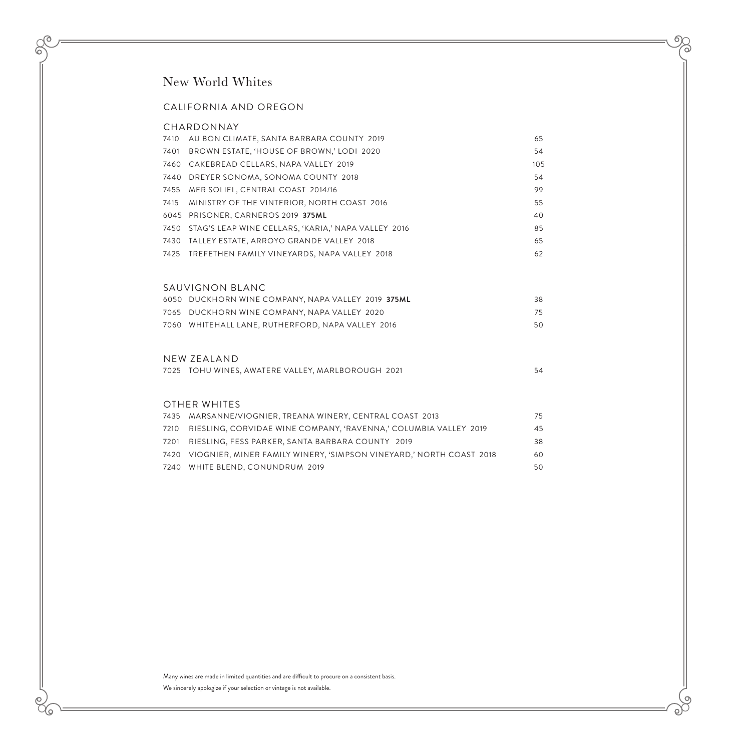## New World Whites

#### CALIFORNIA AND OREGON

#### CHARDONNAY

 $\mathcal{O}$ 

 $\alpha$ 

6

| 7410 | AU BON CLIMATE, SANTA BARBARA COUNTY 2019                    | 65  |
|------|--------------------------------------------------------------|-----|
| 7401 | BROWN ESTATE, 'HOUSE OF BROWN,' LODI 2020                    | 54  |
|      | 7460 CAKEBREAD CELLARS, NAPA VALLEY 2019                     | 105 |
|      | 7440 DREYER SONOMA, SONOMA COUNTY 2018                       | 54  |
|      | 7455 MER SOLIEL, CENTRAL COAST 2014/16                       | 99  |
|      | 7415 MINISTRY OF THE VINTERIOR, NORTH COAST 2016             | 55  |
|      | 6045 PRISONER. CARNEROS 2019 375ML                           | 40  |
|      | 7450    STAG'S LEAP WINE CELLARS, 'KARIA,' NAPA VALLEY  2016 | 85  |
|      | 7430 TALLEY ESTATE, ARROYO GRANDE VALLEY 2018                | 65  |
|      | 7425    TREFETHEN FAMILY VINEYARDS, NAPA VALLEY  2018        | 62  |

 $\Omega$ 

O)

o)-

#### SAUVIGNON BLANC

| 6050   DUCKHORN WINE COMPANY. NAPA VALLEY  2019 <b>375ML</b> | 38  |
|--------------------------------------------------------------|-----|
| 7065    DUCKHORN WINE COMPANY, NAPA VALLEY  2020             | 75. |
| 7060   WHITEHALL LANE, RUTHERFORD, NAPA VALLEY  2016         | 50  |

#### NEW ZEALAND

| 7025   TOHU WINES, AWATERE VALLEY, MARLBOROUGH  2021 |  |
|------------------------------------------------------|--|
|------------------------------------------------------|--|

#### OTHER WHITES

| 7435 MARSANNE/VIOGNIER, TREANA WINERY, CENTRAL COAST 2013                    | 75 |
|------------------------------------------------------------------------------|----|
| 7210 RIESLING, CORVIDAE WINE COMPANY, 'RAVENNA,' COLUMBIA VALLEY 2019        | 45 |
| 7201 RIESLING, FESS PARKER, SANTA BARBARA COUNTY 2019                        | 38 |
| 7420    VIOGNIER, MINER FAMILY WINERY, 'SIMPSON VINEYARD,' NORTH COAST  2018 | 60 |
| 7240 WHITE BLEND, CONUNDRUM 2019                                             | 50 |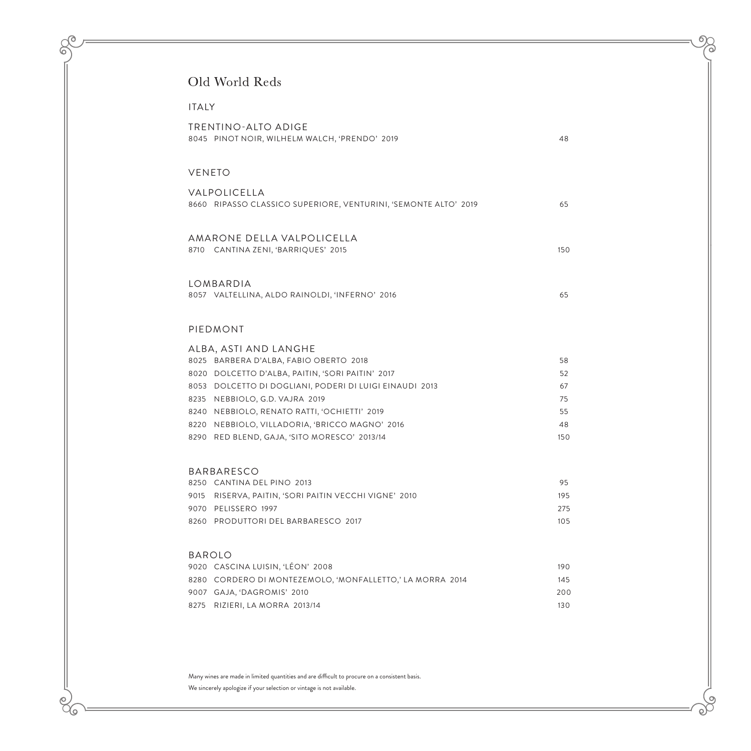# Old World Reds

 $\mathcal{O}$ 

6

86

| <b>ITAIY</b>                                                                                   |           |
|------------------------------------------------------------------------------------------------|-----------|
| <b>TRENTINO-ALTO ADIGE</b><br>8045 PINOT NOIR, WILHELM WALCH, 'PRENDO' 2019                    | 48        |
| <b>VENETO</b>                                                                                  |           |
| VALPOLICELLA<br>8660 RIPASSO CLASSICO SUPERIORE, VENTURINI, 'SEMONTE ALTO' 2019                | 65        |
| AMARONE DELLA VALPOLICELLA<br>8710 CANTINA ZENI, 'BARRIQUES' 2015                              | 150       |
| LOMBARDIA<br>8057 VALTELLINA, ALDO RAINOLDI, 'INFERNO' 2016                                    | 65        |
| PIEDMONT                                                                                       |           |
| ALBA, ASTI AND LANGHE                                                                          |           |
| 8025 BARBERA D'ALBA, FABIO OBERTO 2018                                                         | 58        |
| 8020 DOLCETTO D'ALBA, PAITIN, 'SORI PAITIN' 2017                                               | 52        |
| 8053 DOLCETTO DI DOGLIANI, PODERI DI LUIGI EINAUDI 2013                                        | 67        |
| 8235 NEBBIOLO, G.D. VAJRA 2019                                                                 | 75        |
| 8240 NEBBIOLO, RENATO RATTI, 'OCHIETTI' 2019                                                   | 55        |
| 8220 NEBBIOLO, VILLADORIA, 'BRICCO MAGNO' 2016<br>8290 RED BLEND, GAJA, 'SITO MORESCO' 2013/14 | 48<br>150 |
|                                                                                                |           |
| <b>BARBARESCO</b>                                                                              |           |
| 8250 CANTINA DEL PINO 2013                                                                     | 95        |
| RISERVA, PAITIN, 'SORI PAITIN VECCHI VIGNE' 2010<br>9015                                       | 195       |
| 9070 PELISSERO 1997                                                                            | 275       |
| 8260 PRODUTTORI DEL BARBARESCO 2017                                                            | 105       |
| <b>BAROLO</b>                                                                                  |           |
| 9020 CASCINA LUISIN, 'LÉON' 2008                                                               | 190       |
| 8280<br>CORDERO DI MONTEZEMOLO, 'MONFALLETTO,' LA MORRA 2014                                   | 145       |
| 9007 GAJA, 'DAGROMIS' 2010                                                                     | 200       |
| 8275<br>RIZIERI, LA MORRA 2013/14                                                              | 130       |

Many wines are made in limited quantities and are difficult to procure on a consistent basis. We sincerely apologize if your selection or vintage is not available.

 $\sigma$ 

 $\alpha$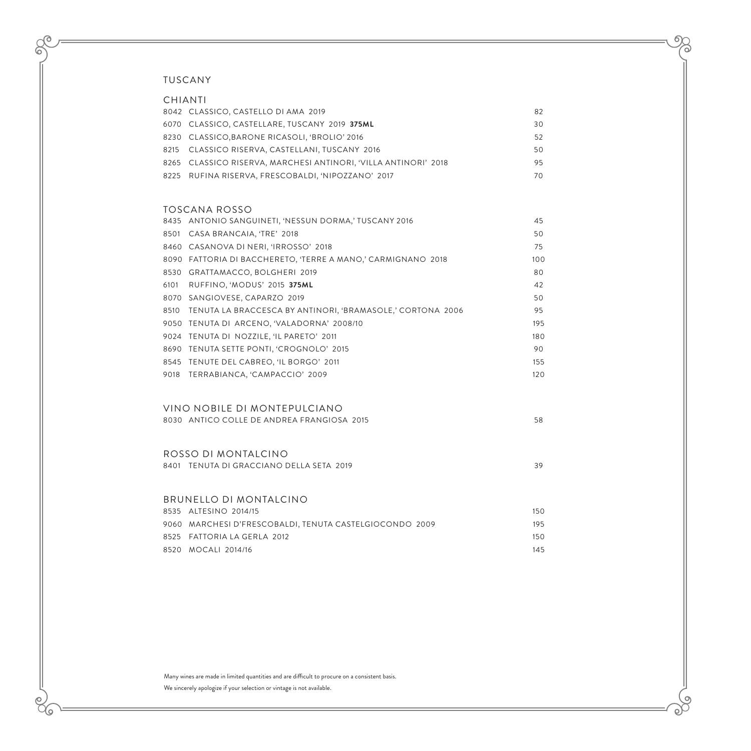$\delta$ 

6

86

| CHIANTI                                                         |     |
|-----------------------------------------------------------------|-----|
| 8042 CLASSICO, CASTELLO DI AMA 2019                             | 82  |
| 6070 CLASSICO, CASTELLARE, TUSCANY 2019 375ML                   | 30  |
| 8230 CLASSICO, BARONE RICASOLI, 'BROLIO' 2016                   | 52  |
| 8215 CLASSICO RISERVA, CASTELLANI, TUSCANY 2016                 | 50  |
| 8265 CLASSICO RISERVA, MARCHESI ANTINORI, 'VILLA ANTINORI' 2018 | 95  |
| 8225 RUFINA RISERVA, FRESCOBALDI, 'NIPOZZANO' 2017              | 70  |
|                                                                 |     |
| TOSCANA ROSSO                                                   |     |
| 8435 ANTONIO SANGUINETI, 'NESSUN DORMA,' TUSCANY 2016           | 45  |
| 8501 CASA BRANCAIA, 'TRE' 2018                                  | 50  |
| 8460 CASANOVA DI NERI, 'IRROSSO' 2018                           | 75  |
| 8090 FATTORIA DI BACCHERETO, 'TERRE A MANO,' CARMIGNANO 2018    | 100 |
| 8530 GRATTAMACCO, BOLGHERI 2019                                 | 80  |
| 6101<br>RUFFINO, 'MODUS' 2015 375ML                             | 42  |
| 8070 SANGIOVESE, CAPARZO 2019                                   | 50  |
| 8510 TENUTA LA BRACCESCA BY ANTINORI, 'BRAMASOLE,' CORTONA 2006 | 95  |
| 9050 TENUTA DI ARCENO, 'VALADORNA' 2008/10                      | 195 |
| 9024 TENUTA DI NOZZILE, 'IL PARETO' 2011                        | 180 |
| 8690 TENUTA SETTE PONTI, 'CROGNOLO' 2015                        | 90  |
| 8545 TENUTE DEL CABREO, 'IL BORGO' 2011                         | 155 |
| 9018 TERRABIANCA, 'CAMPACCIO' 2009                              | 120 |
|                                                                 |     |
|                                                                 |     |
| VINO NOBILE DI MONTEPUI CIANO                                   |     |
| 8030 ANTICO COLLE DE ANDREA FRANGIOSA 2015                      | 58  |
|                                                                 |     |
| ROSSO DI MONTAI CINO                                            |     |
| 8401 TENUTA DI GRACCIANO DELLA SETA 2019                        | 39  |
|                                                                 |     |
|                                                                 |     |
| BRUNELLO DI MONTALCINO                                          |     |
| 8535 ALTESINO 2014/15                                           | 150 |
| 9060 MARCHESI D'FRESCOBALDI, TENUTA CASTELGIOCONDO 2009         | 195 |
| 8525 FATTORIA LA GERLA 2012                                     | 150 |
| 8520 MOCALI 2014/16                                             | 145 |

Many wines are made in limited quantities and are difficult to procure on a consistent basis. We sincerely apologize if your selection or vintage is not available.

 $6\chi$ പ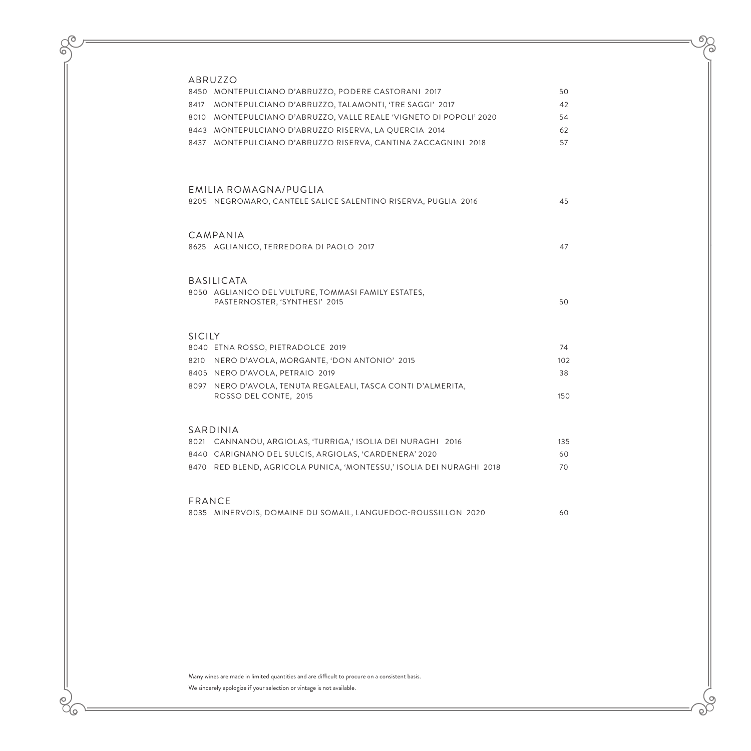$\mathcal{O}$ 

6

 $\overline{e}$  $\alpha$ 

| ABRUZZO       |                                                                                       |     |
|---------------|---------------------------------------------------------------------------------------|-----|
|               | 8450 MONTEPULCIANO D'ABRUZZO, PODERE CASTORANI 2017                                   | 50  |
| 8417          | MONTEPULCIANO D'ABRUZZO, TALAMONTI, 'TRE SAGGI' 2017                                  | 42  |
|               | 8010 MONTEPULCIANO D'ABRUZZO, VALLE REALE 'VIGNETO DI POPOLI' 2020                    | 54  |
|               | 8443 MONTEPULCIANO D'ABRUZZO RISERVA, LA QUERCIA 2014                                 | 62  |
|               | 8437 MONTEPULCIANO D'ABRUZZO RISERVA, CANTINA ZACCAGNINI 2018                         | 57  |
|               | EMILIA ROMAGNA/PUGLIA                                                                 |     |
|               | 8205 NEGROMARO, CANTELE SALICE SALENTINO RISERVA, PUGLIA 2016                         | 45  |
|               | CAMPANIA                                                                              |     |
|               | 8625 AGLIANICO, TERREDORA DI PAOLO 2017                                               | 47  |
|               | <b>BASILICATA</b>                                                                     |     |
|               | 8050 AGLIANICO DEL VULTURE, TOMMASI FAMILY ESTATES,<br>PASTERNOSTER, 'SYNTHESI' 2015  | 50  |
| <b>SICILY</b> |                                                                                       |     |
|               | 8040 ETNA ROSSO, PIETRADOLCE 2019                                                     | 74  |
| 8210          | NERO D'AVOLA, MORGANTE, 'DON ANTONIO' 2015                                            | 102 |
|               | 8405 NERO D'AVOLA, PETRAIO 2019                                                       | 38  |
|               | 8097 NERO D'AVOLA, TENUTA REGALEALI, TASCA CONTI D'ALMERITA,<br>ROSSO DEL CONTE, 2015 | 150 |
| SARDINIA      |                                                                                       |     |
|               | 8021 CANNANOU, ARGIOLAS, 'TURRIGA,' ISOLIA DEI NURAGHI 2016                           | 135 |
|               | 8440 CARIGNANO DEL SULCIS, ARGIOLAS, 'CARDENERA' 2020                                 | 60  |
|               | 8470 RED BLEND, AGRICOLA PUNICA, 'MONTESSU,' ISOLIA DEI NURAGHI 2018                  | 70  |
| FRANCE        |                                                                                       |     |
|               | 8035 MINERVOIS, DOMAINE DU SOMAIL, LANGUEDOC-ROUSSILLON 2020                          | 60  |

Many wines are made in limited quantities and are difficult to procure on a consistent basis. We sincerely apologize if your selection or vintage is not available.

 $\circ$ 

 $\infty$ 

 $6\chi$ 

പ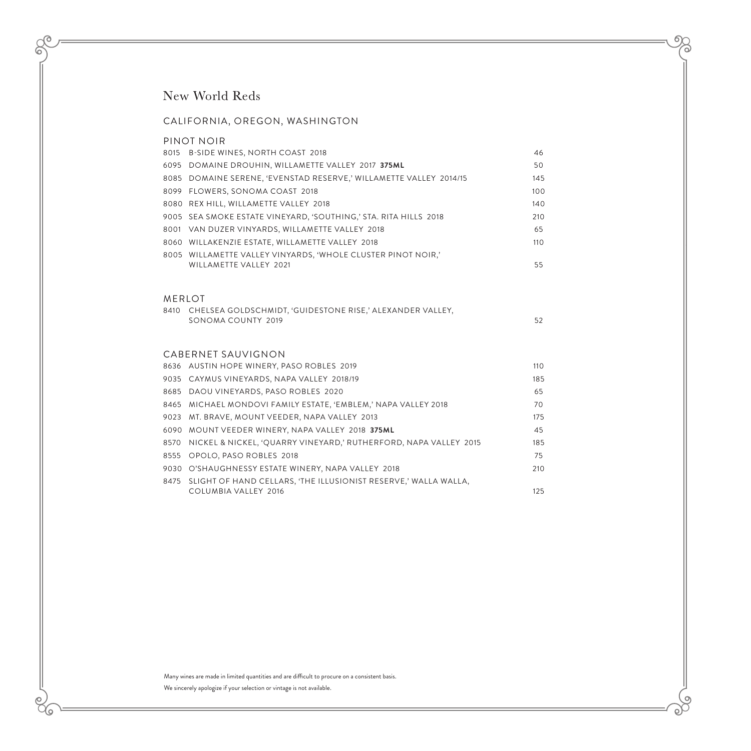## New World Reds

#### CALIFORNIA, OREGON, WASHINGTON

## PINOT NOIR 8015 B-SIDE WINES, NORTH COAST 2018 46 6095 DOMAINE DROUHIN, WILLAMETTE VALLEY 2017 **375ML** 50 8085 DOMAINE SERENE, 'EVENSTAD RESERVE,' WILLAMETTE VALLEY 2014/15 145 8099 FLOWERS, SONOMA COAST 2018 100 8080 REX HILL, WILLAMETTE VALLEY 2018 140 140 9005 SEA SMOKE ESTATE VINEYARD, 'SOUTHING,' STA. RITA HILLS 2018 210 8001 VAN DUZER VINYARDS, WILLAMETTE VALLEY 2018 65 8060 WILLAKENZIE ESTATE, WILLAMETTE VALLEY 2018 110 8005 WILLAMETTE VALLEY VINYARDS, 'WHOLE CLUSTER PINOT NOIR,' WILLAMETTE VALLEY 2021 **55** MERLOT 8410 CHELSEA GOLDSCHMIDT, 'GUIDESTONE RISE,' ALEXANDER VALLEY, SONOMA COUNTY 2019 52 CABERNET SAUVIGNON 8636 AUSTIN HOPE WINERY, PASO ROBLES 2019 110 9035 CAYMUS VINEYARDS, NAPA VALLEY 2018/19 185 8685 DAOU VINEYARDS, PASO ROBLES 2020 65 8465 MICHAEL MONDOVI FAMILY ESTATE, 'EMBLEM,' NAPA VALLEY 2018 70 9023 MT. BRAVE, MOUNT VEEDER, NAPA VALLEY 2013 175 6090 MOUNT VEEDER WINERY, NAPA VALLEY 2018 **375ML** 45 8570 NICKEL & NICKEL, 'QUARRY VINEYARD,' RUTHERFORD, NAPA VALLEY 2015 185 8555 OPOLO, PASO ROBLES 2018 75 9030 O'SHAUGHNESSY ESTATE WINERY, NAPA VALLEY 2018 210 8475 SLIGHT OF HAND CELLARS, 'THE ILLUSIONIST RESERVE,' WALLA WALLA, COLUMBIA VALLEY 2016 125